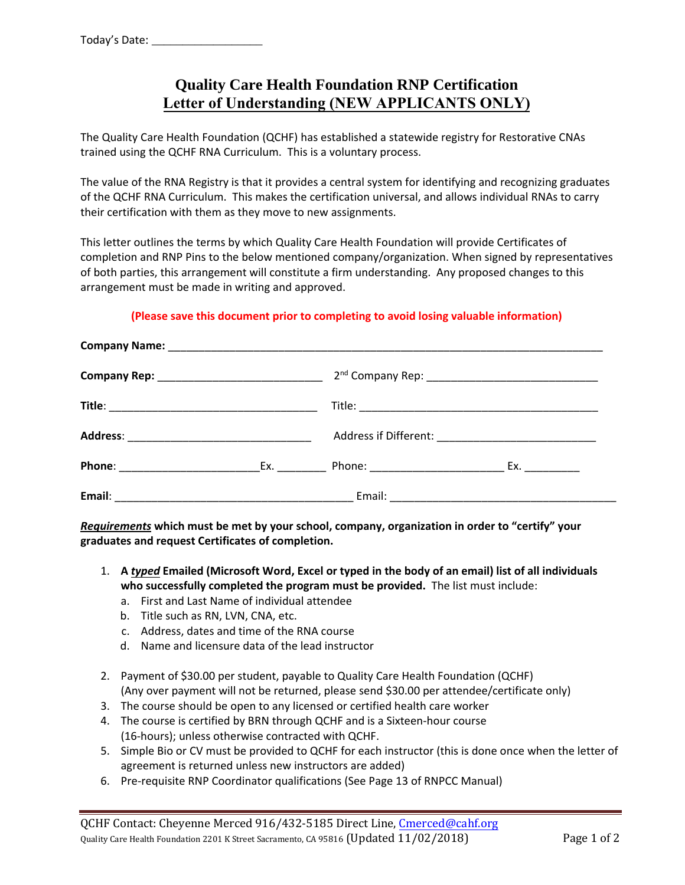# **Quality Care Health Foundation RNP Certification Letter of Understanding (NEW APPLICANTS ONLY)**

The Quality Care Health Foundation (QCHF) has established a statewide registry for Restorative CNAs trained using the QCHF RNA Curriculum. This is a voluntary process.

The value of the RNA Registry is that it provides a central system for identifying and recognizing graduates of the QCHF RNA Curriculum. This makes the certification universal, and allows individual RNAs to carry their certification with them as they move to new assignments.

This letter outlines the terms by which Quality Care Health Foundation will provide Certificates of completion and RNP Pins to the below mentioned company/organization. When signed by representatives of both parties, this arrangement will constitute a firm understanding. Any proposed changes to this arrangement must be made in writing and approved.

## **(Please save this document prior to completing to avoid losing valuable information)**

*Requirements* **which must be met by your school, company, organization in order to "certify" your graduates and request Certificates of completion.** 

- 1. **A** *typed* **Emailed (Microsoft Word, Excel or typed in the body of an email) list of all individuals who successfully completed the program must be provided.** The list must include:
	- a. First and Last Name of individual attendee
	- b. Title such as RN, LVN, CNA, etc.
	- c. Address, dates and time of the RNA course
	- d. Name and licensure data of the lead instructor
- 2. Payment of \$30.00 per student, payable to Quality Care Health Foundation (QCHF) (Any over payment will not be returned, please send \$30.00 per attendee/certificate only)
- 3. The course should be open to any licensed or certified health care worker
- 4. The course is certified by BRN through QCHF and is a Sixteen‐hour course (16-hours); unless otherwise contracted with QCHF.
- 5. Simple Bio or CV must be provided to QCHF for each instructor (this is done once when the letter of agreement is returned unless new instructors are added)
- 6. Pre‐requisite RNP Coordinator qualifications (See Page 13 of RNPCC Manual)